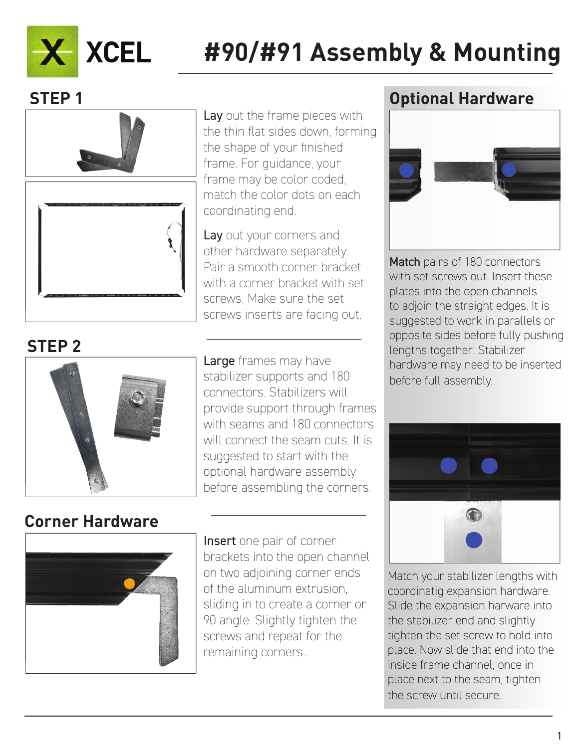

# **#90/#91 Assembly & Mounting**

### **STEP 1**



Lay out the frame pieces with the thin flat sides down, forming the shape of your finished frame. For guidance, your frame may be color coded, match the color dots on each coordinating end.

Lay out your corners and other hardware separately. Pair a smooth corner bracket with a corner bracket with set screws. Make sure the set screws inserts are facing out.

## **STEP 2**



Large frames may have stabilizer supports and 180 connectors. Stabilizers will provide support through frames with seams and 180 connectors will connect the seam cuts. It is suggested to start with the optional hardware assembly before assembling the corners.

### **Corner Hardware**



Insert one pair of corner brackets into the open channel on two adjoining corner ends of the aluminum extrusion, sliding in to create a corner or 90 angle. Slightly tighten the screws and repeat for the remaining corners..

#### **Optional Hardware**



Match pairs of 180 connectors with set screws out. Insert these plates into the open channels to adjoin the straight edges. It is suggested to work in parallels or opposite sides before fully pushing lengths together. Stabilizer hardware may need to be inserted before full assembly.



Match your stabilizer lengths with coordinatig expansion hardware. Slide the expansion harware into the stabilizer end and slightly tighten the set screw to hold into place. Now slide that end into the inside frame channel, once in place next to the seam, tighten the screw until secure.

1